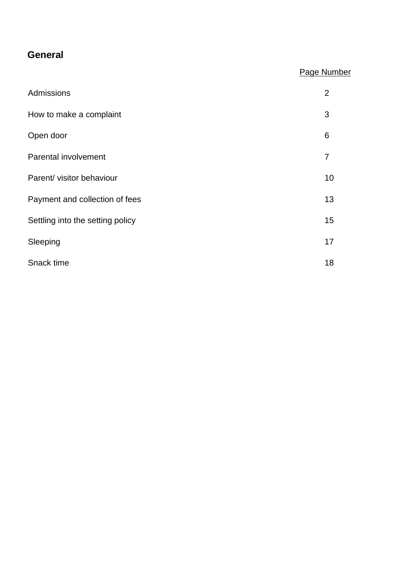# **General**

### Page Number

| Admissions                       | $\overline{2}$ |
|----------------------------------|----------------|
| How to make a complaint          | 3              |
| Open door                        | 6              |
| Parental involvement             | 7              |
| Parent/ visitor behaviour        | 10             |
| Payment and collection of fees   | 13             |
| Settling into the setting policy | 15             |
| Sleeping                         | 17             |
| Snack time                       | 18             |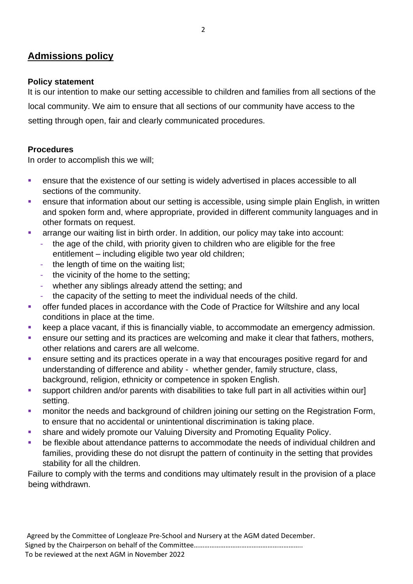## **Admissions policy**

#### **Policy statement**

It is our intention to make our setting accessible to children and families from all sections of the local community. We aim to ensure that all sections of our community have access to the setting through open, fair and clearly communicated procedures.

#### **Procedures**

In order to accomplish this we will;

- ensure that the existence of our setting is widely advertised in places accessible to all sections of the community.
- **EXECT** ensure that information about our setting is accessible, using simple plain English, in written and spoken form and, where appropriate, provided in different community languages and in other formats on request.
- **EXECT** arrange our waiting list in birth order. In addition, our policy may take into account:
	- the age of the child, with priority given to children who are eligible for the free entitlement – including eligible two year old children;
	- the length of time on the waiting list;
	- the vicinity of the home to the setting;
	- whether any siblings already attend the setting; and
	- the capacity of the setting to meet the individual needs of the child.
- **•** offer funded places in accordance with the Code of Practice for Wiltshire and any local conditions in place at the time.
- keep a place vacant, if this is financially viable, to accommodate an emergency admission.
- **EXECT** ensure our setting and its practices are welcoming and make it clear that fathers, mothers, other relations and carers are all welcome.
- **EXECT** ensure setting and its practices operate in a way that encourages positive regard for and understanding of difference and ability - whether gender, family structure, class, background, religion, ethnicity or competence in spoken English.
- support children and/or parents with disabilities to take full part in all activities within our] setting.
- monitor the needs and background of children joining our setting on the Registration Form, to ensure that no accidental or unintentional discrimination is taking place.
- share and widely promote our Valuing Diversity and Promoting Equality Policy.
- be flexible about attendance patterns to accommodate the needs of individual children and families, providing these do not disrupt the pattern of continuity in the setting that provides stability for all the children.

Failure to comply with the terms and conditions may ultimately result in the provision of a place being withdrawn.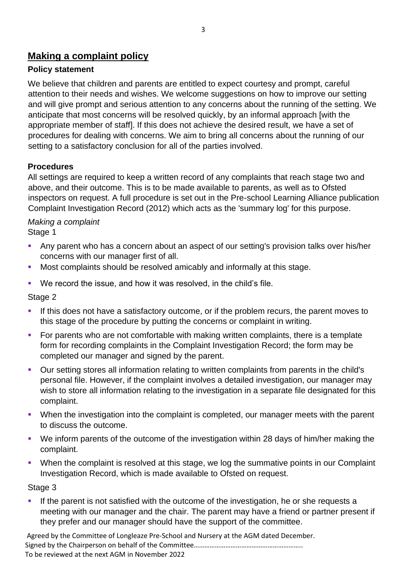# **Making a complaint policy**

## **Policy statement**

We believe that children and parents are entitled to expect courtesy and prompt, careful attention to their needs and wishes. We welcome suggestions on how to improve our setting and will give prompt and serious attention to any concerns about the running of the setting. We anticipate that most concerns will be resolved quickly, by an informal approach [with the appropriate member of staff]. If this does not achieve the desired result, we have a set of procedures for dealing with concerns. We aim to bring all concerns about the running of our setting to a satisfactory conclusion for all of the parties involved.

## **Procedures**

All settings are required to keep a written record of any complaints that reach stage two and above, and their outcome. This is to be made available to parents, as well as to Ofsted inspectors on request. A full procedure is set out in the Pre-school Learning Alliance publication Complaint Investigation Record (2012) which acts as the 'summary log' for this purpose.

#### *Making a complaint*  Stage 1

- **EXT** Any parent who has a concern about an aspect of our setting's provision talks over his/her concerns with our manager first of all.
- Most complaints should be resolved amicably and informally at this stage.
- We record the issue, and how it was resolved, in the child's file.

### Stage 2

- **.** If this does not have a satisfactory outcome, or if the problem recurs, the parent moves to this stage of the procedure by putting the concerns or complaint in writing.
- For parents who are not comfortable with making written complaints, there is a template form for recording complaints in the Complaint Investigation Record; the form may be completed our manager and signed by the parent.
- Our setting stores all information relating to written complaints from parents in the child's personal file. However, if the complaint involves a detailed investigation, our manager may wish to store all information relating to the investigation in a separate file designated for this complaint.
- When the investigation into the complaint is completed, our manager meets with the parent to discuss the outcome.
- We inform parents of the outcome of the investigation within 28 days of him/her making the complaint.
- When the complaint is resolved at this stage, we log the summative points in our Complaint Investigation Record, which is made available to Ofsted on request.

Stage 3

If the parent is not satisfied with the outcome of the investigation, he or she requests a meeting with our manager and the chair. The parent may have a friend or partner present if they prefer and our manager should have the support of the committee.

Agreed by the Committee of Longleaze Pre-School and Nursery at the AGM dated December. Signed by the Chairperson on behalf of the Committee…………………………………………………….. To be reviewed at the next AGM in November 2022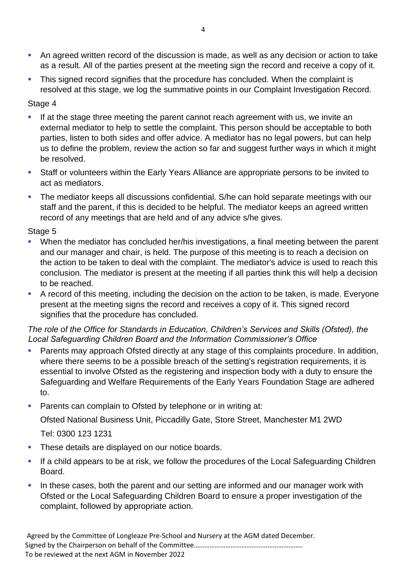- **An agreed written record of the discussion is made, as well as any decision or action to take** as a result. All of the parties present at the meeting sign the record and receive a copy of it.
- **•** This signed record signifies that the procedure has concluded. When the complaint is resolved at this stage, we log the summative points in our Complaint Investigation Record.

#### Stage 4

- **.** If at the stage three meeting the parent cannot reach agreement with us, we invite an external mediator to help to settle the complaint. This person should be acceptable to both parties, listen to both sides and offer advice. A mediator has no legal powers, but can help us to define the problem, review the action so far and suggest further ways in which it might be resolved.
- Staff or volunteers within the Early Years Alliance are appropriate persons to be invited to act as mediators.
- The mediator keeps all discussions confidential. S/he can hold separate meetings with our staff and the parent, if this is decided to be helpful. The mediator keeps an agreed written record of any meetings that are held and of any advice s/he gives.

#### Stage 5

- **When the mediator has concluded her/his investigations, a final meeting between the parent** and our manager and chair, is held. The purpose of this meeting is to reach a decision on the action to be taken to deal with the complaint. The mediator's advice is used to reach this conclusion. The mediator is present at the meeting if all parties think this will help a decision to be reached.
- **EXECT** A record of this meeting, including the decision on the action to be taken, is made. Everyone present at the meeting signs the record and receives a copy of it. This signed record signifies that the procedure has concluded.

### *The role of the Office for Standards in Education, Children's Services and Skills (Ofsted), the Local Safeguarding Children Board and the Information Commissioner's Office*

- Parents may approach Ofsted directly at any stage of this complaints procedure. In addition, where there seems to be a possible breach of the setting's registration requirements, it is essential to involve Ofsted as the registering and inspection body with a duty to ensure the Safeguarding and Welfare Requirements of the Early Years Foundation Stage are adhered to.
- Parents can complain to Ofsted by telephone or in writing at: Ofsted National Business Unit, Piccadilly Gate, Store Street, Manchester M1 2WD Tel: 0300 123 1231
- **These details are displayed on our notice boards.**
- **.** If a child appears to be at risk, we follow the procedures of the Local Safeguarding Children Board.
- **•** In these cases, both the parent and our setting are informed and our manager work with Ofsted or the Local Safeguarding Children Board to ensure a proper investigation of the complaint, followed by appropriate action.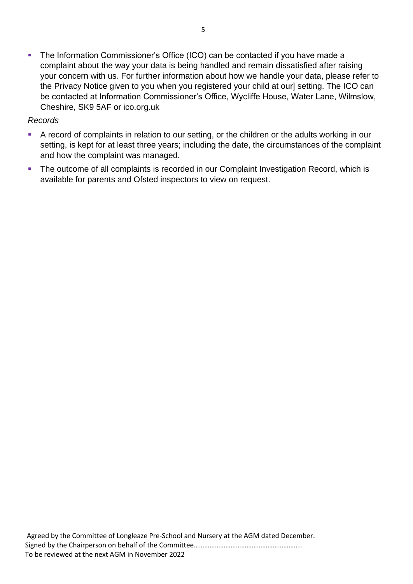■ The Information Commissioner's Office (ICO) can be contacted if you have made a complaint about the way your data is being handled and remain dissatisfied after raising your concern with us. For further information about how we handle your data, please refer to the Privacy Notice given to you when you registered your child at our] setting. The ICO can be contacted at Information Commissioner's Office, Wycliffe House, Water Lane, Wilmslow, Cheshire, SK9 5AF or ico.org.uk

#### *Records*

- A record of complaints in relation to our setting, or the children or the adults working in our setting, is kept for at least three years; including the date, the circumstances of the complaint and how the complaint was managed.
- The outcome of all complaints is recorded in our Complaint Investigation Record, which is available for parents and Ofsted inspectors to view on request.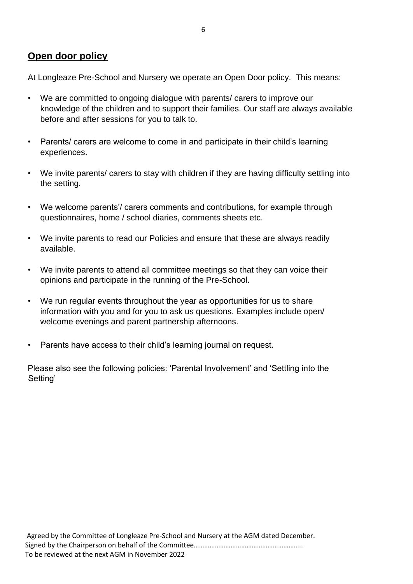## **Open door policy**

At Longleaze Pre-School and Nursery we operate an Open Door policy. This means:

- We are committed to ongoing dialogue with parents/ carers to improve our knowledge of the children and to support their families. Our staff are always available before and after sessions for you to talk to.
- Parents/ carers are welcome to come in and participate in their child's learning experiences.
- We invite parents/ carers to stay with children if they are having difficulty settling into the setting.
- We welcome parents'/ carers comments and contributions, for example through questionnaires, home / school diaries, comments sheets etc.
- We invite parents to read our Policies and ensure that these are always readily available.
- We invite parents to attend all committee meetings so that they can voice their opinions and participate in the running of the Pre-School.
- We run regular events throughout the year as opportunities for us to share information with you and for you to ask us questions. Examples include open/ welcome evenings and parent partnership afternoons.
- Parents have access to their child's learning journal on request.

Please also see the following policies: 'Parental Involvement' and 'Settling into the Setting'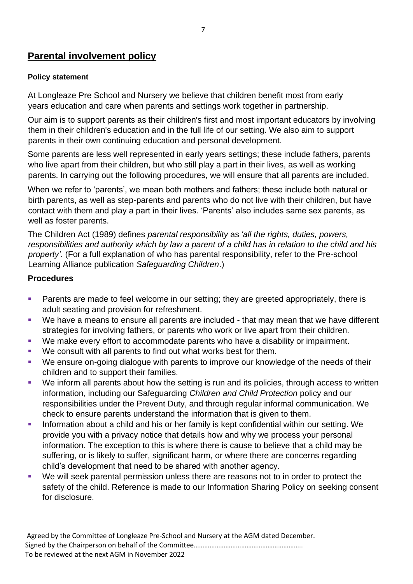## **Parental involvement policy**

#### **Policy statement**

At Longleaze Pre School and Nursery we believe that children benefit most from early years education and care when parents and settings work together in partnership.

Our aim is to support parents as their children's first and most important educators by involving them in their children's education and in the full life of our setting. We also aim to support parents in their own continuing education and personal development.

Some parents are less well represented in early years settings; these include fathers, parents who live apart from their children, but who still play a part in their lives, as well as working parents. In carrying out the following procedures, we will ensure that all parents are included.

When we refer to 'parents', we mean both mothers and fathers; these include both natural or birth parents, as well as step-parents and parents who do not live with their children, but have contact with them and play a part in their lives. 'Parents' also includes same sex parents, as well as foster parents.

The Children Act (1989) defines *parental responsibility* as *'all the rights, duties, powers, responsibilities and authority which by law a parent of a child has in relation to the child and his property'*. (For a full explanation of who has parental responsibility, refer to the Pre-school Learning Alliance publication *Safeguarding Children*.)

### **Procedures**

- **Parents are made to feel welcome in our setting; they are greeted appropriately, there is** adult seating and provision for refreshment.
- We have a means to ensure all parents are included that may mean that we have different strategies for involving fathers, or parents who work or live apart from their children.
- We make every effort to accommodate parents who have a disability or impairment.
- We consult with all parents to find out what works best for them.
- We ensure on-going dialogue with parents to improve our knowledge of the needs of their children and to support their families.
- We inform all parents about how the setting is run and its policies, through access to written information, including our Safeguarding *Children and Child Protection* policy and our responsibilities under the Prevent Duty, and through regular informal communication. We check to ensure parents understand the information that is given to them.
- **·** Information about a child and his or her family is kept confidential within our setting. We provide you with a privacy notice that details how and why we process your personal information. The exception to this is where there is cause to believe that a child may be suffering, or is likely to suffer, significant harm, or where there are concerns regarding child's development that need to be shared with another agency.
- We will seek parental permission unless there are reasons not to in order to protect the safety of the child. Reference is made to our Information Sharing Policy on seeking consent for disclosure.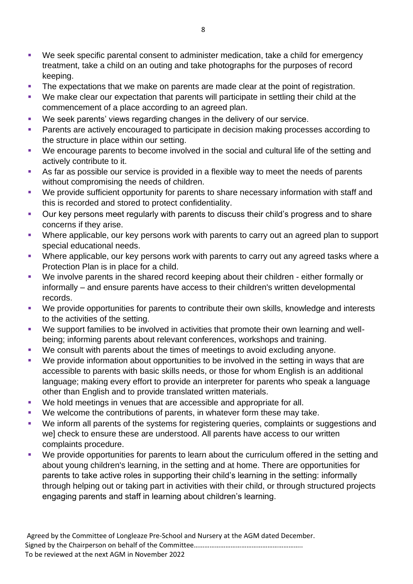- We seek specific parental consent to administer medication, take a child for emergency treatment, take a child on an outing and take photographs for the purposes of record keeping.
- **•** The expectations that we make on parents are made clear at the point of registration.
- We make clear our expectation that parents will participate in settling their child at the commencement of a place according to an agreed plan.
- We seek parents' views regarding changes in the delivery of our service.
- **Parents are actively encouraged to participate in decision making processes according to** the structure in place within our setting.
- We encourage parents to become involved in the social and cultural life of the setting and actively contribute to it.
- As far as possible our service is provided in a flexible way to meet the needs of parents without compromising the needs of children.
- We provide sufficient opportunity for parents to share necessary information with staff and this is recorded and stored to protect confidentiality.
- **Our key persons meet regularly with parents to discuss their child's progress and to share** concerns if they arise.
- **EXTER** Where applicable, our key persons work with parents to carry out an agreed plan to support special educational needs.
- Where applicable, our key persons work with parents to carry out any agreed tasks where a Protection Plan is in place for a child.
- We involve parents in the shared record keeping about their children either formally or informally – and ensure parents have access to their children's written developmental records.
- We provide opportunities for parents to contribute their own skills, knowledge and interests to the activities of the setting.
- We support families to be involved in activities that promote their own learning and wellbeing; informing parents about relevant conferences, workshops and training.
- We consult with parents about the times of meetings to avoid excluding anyone.
- We provide information about opportunities to be involved in the setting in ways that are accessible to parents with basic skills needs, or those for whom English is an additional language; making every effort to provide an interpreter for parents who speak a language other than English and to provide translated written materials.
- We hold meetings in venues that are accessible and appropriate for all.
- We welcome the contributions of parents, in whatever form these may take.
- We inform all parents of the systems for registering queries, complaints or suggestions and we] check to ensure these are understood. All parents have access to our written complaints procedure.
- We provide opportunities for parents to learn about the curriculum offered in the setting and about young children's learning, in the setting and at home. There are opportunities for parents to take active roles in supporting their child's learning in the setting: informally through helping out or taking part in activities with their child, or through structured projects engaging parents and staff in learning about children's learning.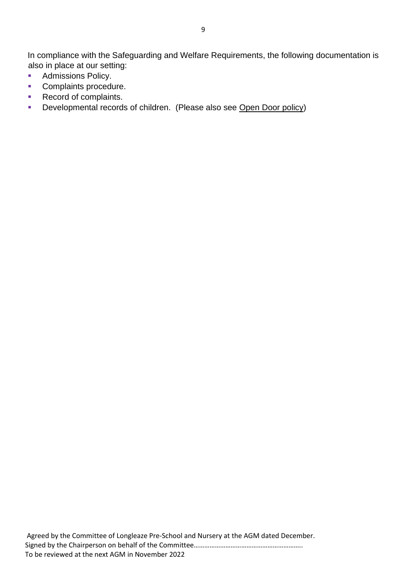In compliance with the Safeguarding and Welfare Requirements, the following documentation is also in place at our setting:

- Admissions Policy.
- Complaints procedure.
- Record of complaints.
- **E** Developmental records of children. (Please also see Open Door policy)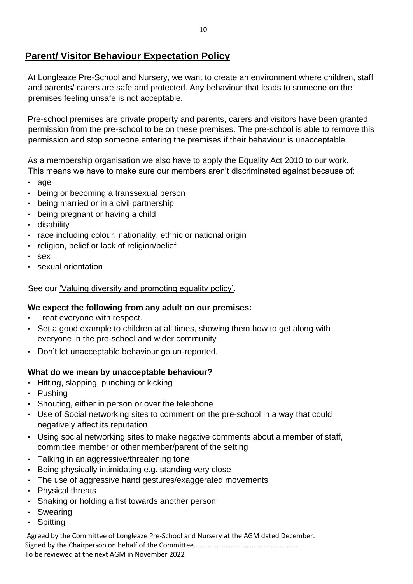# **Parent/ Visitor Behaviour Expectation Policy**

At Longleaze Pre-School and Nursery, we want to create an environment where children, staff and parents/ carers are safe and protected. Any behaviour that leads to someone on the premises feeling unsafe is not acceptable.

Pre-school premises are private property and parents, carers and visitors have been granted permission from the pre-school to be on these premises. The pre-school is able to remove this permission and stop someone entering the premises if their behaviour is unacceptable.

As a membership organisation we also have to apply the Equality Act 2010 to our work. This means we have to make sure our members aren't discriminated against because of:

- age
- being or becoming a transsexual person
- being married or in a civil partnership
- being [pregnant](https://www.gov.uk/working-when-pregnant-your-rights) [or](https://www.gov.uk/working-when-pregnant-your-rights) having a child
- [disability](https://www.gov.uk/definition-of-disability-under-equality-act-2010)
- race including colour, nationality, ethnic or national origin
- religion, belief or lack of religion/belief
- sex
- sexual orientation

See our 'Valuing diversity and promoting equality policy'.

#### **We expect the following from any adult on our premises:**

- Treat everyone with respect.
- Set a good example to children at all times, showing them how to get along with everyone in the pre-school and wider community
- Don't let unacceptable behaviour go un-reported.

### **What do we mean by unacceptable behaviour?**

- Hitting, slapping, punching or kicking
- Pushing
- Shouting, either in person or over the telephone
- Use of Social networking sites to comment on the pre-school in a way that could negatively affect its reputation
- Using social networking sites to make negative comments about a member of staff, committee member or other member/parent of the setting
- Talking in an aggressive/threatening tone
- Being physically intimidating e.g. standing very close
- The use of aggressive hand gestures/exaggerated movements
- Physical threats
- Shaking or holding a fist towards another person
- Swearing
- Spitting

Agreed by the Committee of Longleaze Pre-School and Nursery at the AGM dated December. Signed by the Chairperson on behalf of the Committee…………………………………………………….. To be reviewed at the next AGM in November 2022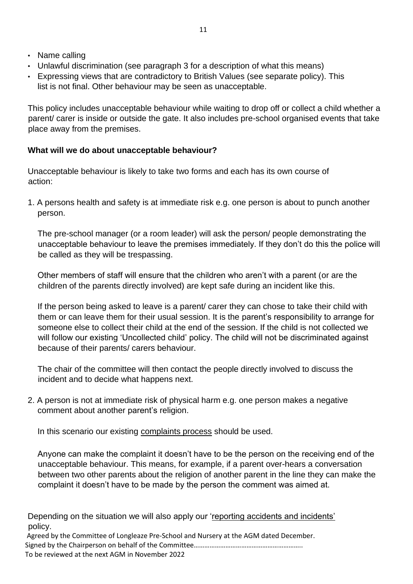- Name calling
- Unlawful discrimination (see paragraph 3 for a description of what this means)
- Expressing views that are contradictory to British Values (see separate policy). This list is not final. Other behaviour may be seen as unacceptable.

This policy includes unacceptable behaviour while waiting to drop off or collect a child whether a parent/ carer is inside or outside the gate. It also includes pre-school organised events that take place away from the premises.

### **What will we do about unacceptable behaviour?**

Unacceptable behaviour is likely to take two forms and each has its own course of action:

1. A persons health and safety is at immediate risk e.g. one person is about to punch another person.

The pre-school manager (or a room leader) will ask the person/ people demonstrating the unacceptable behaviour to leave the premises immediately. If they don't do this the police will be called as they will be trespassing.

Other members of staff will ensure that the children who aren't with a parent (or are the children of the parents directly involved) are kept safe during an incident like this.

If the person being asked to leave is a parent/ carer they can chose to take their child with them or can leave them for their usual session. It is the parent's responsibility to arrange for someone else to collect their child at the end of the session. If the child is not collected we will follow our existing 'Uncollected child' policy. The child will not be discriminated against because of their parents/ carers behaviour.

The chair of the committee will then contact the people directly involved to discuss the incident and to decide what happens next.

2. A person is not at immediate risk of physical harm e.g. one person makes a negative comment about another parent's religion.

In this scenario our existing complaints process should be used.

Anyone can make the complaint it doesn't have to be the person on the receiving end of the unacceptable behaviour. This means, for example, if a parent over-hears a conversation between two other parents about the religion of another parent in the line they can make the complaint it doesn't have to be made by the person the comment was aimed at.

Depending on the situation we will also apply our 'reporting accidents and incidents' policy.

Agreed by the Committee of Longleaze Pre-School and Nursery at the AGM dated December. Signed by the Chairperson on behalf of the Committee……………………………………………………..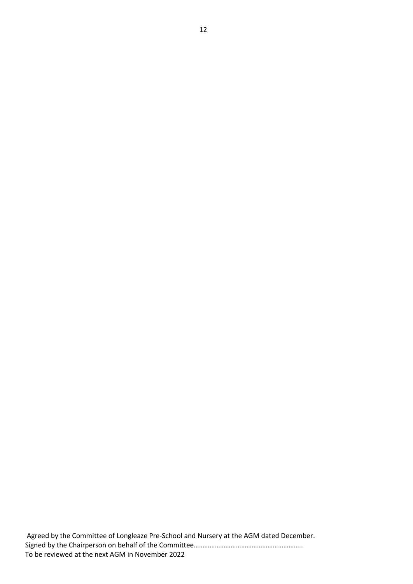Agreed by the Committee of Longleaze Pre-School and Nursery at the AGM dated December. Signed by the Chairperson on behalf of the Committee………………………………………………………………………… To be reviewed at the next AGM in November 2022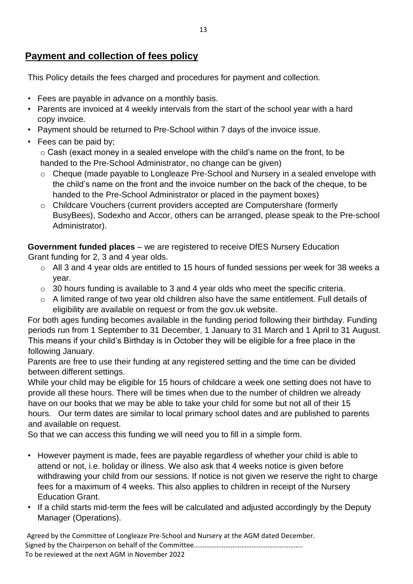# **Payment and collection of fees policy**

This Policy details the fees charged and procedures for payment and collection.

- Fees are payable in advance on a monthly basis.
- Parents are invoiced at 4 weekly intervals from the start of the school year with a hard copy invoice.
- Payment should be returned to Pre-School within 7 days of the invoice issue.
- Fees can be paid by;  $\circ$  Cash (exact money in a sealed envelope with the child's name on the front, to be

handed to the Pre-School Administrator, no change can be given)

- o Cheque (made payable to Longleaze Pre-School and Nursery in a sealed envelope with the child's name on the front and the invoice number on the back of the cheque, to be handed to the Pre-School Administrator or placed in the payment boxes)
- o Childcare Vouchers (current providers accepted are Computershare (formerly BusyBees), Sodexho and Accor, others can be arranged, please speak to the Pre-school Administrator).

**Government funded places** – we are registered to receive DfES Nursery Education Grant funding for 2, 3 and 4 year olds.

- o All 3 and 4 year olds are entitled to 15 hours of funded sessions per week for 38 weeks a year.
- o 30 hours funding is available to 3 and 4 year olds who meet the specific criteria.
- o A limited range of two year old children also have the same entitlement. Full details of eligibility are available on request or from the [gov.uk website.](https://www.gov.uk/help-with-childcare-costs/free-childcare-and-education-for-2-to-4-year-olds)

For both ages funding becomes available in the funding period following their birthday. Funding periods run from 1 September to 31 December, 1 January to 31 March and 1 April to 31 August. This means if your child's Birthday is in October they will be eligible for a free place in the following January.

Parents are free to use their funding at any registered setting and the time can be divided between different settings.

While your child may be eligible for 15 hours of childcare a week one setting does not have to provide all these hours. There will be times when due to the number of children we already have on our books that we may be able to take your child for some but not all of their 15 hours. Our term dates are similar to local primary school dates and are published to parents and available on request.

So that we can access this funding we will need you to fill in a simple form.

- However payment is made, fees are payable regardless of whether your child is able to attend or not, i.e. holiday or illness. We also ask that 4 weeks notice is given before withdrawing your child from our sessions. If notice is not given we reserve the right to charge fees for a maximum of 4 weeks. This also applies to children in receipt of the Nursery Education Grant.
- If a child starts mid-term the fees will be calculated and adjusted accordingly by the Deputy Manager (Operations).

Agreed by the Committee of Longleaze Pre-School and Nursery at the AGM dated December. Signed by the Chairperson on behalf of the Committee…………………………………………………….. To be reviewed at the next AGM in November 2022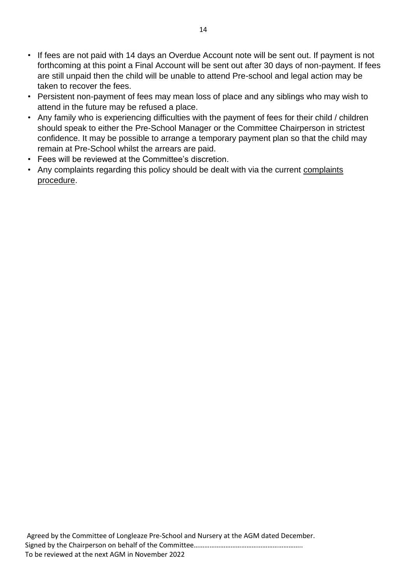- If fees are not paid with 14 days an Overdue Account note will be sent out. If payment is not forthcoming at this point a Final Account will be sent out after 30 days of non-payment. If fees are still unpaid then the child will be unable to attend Pre-school and legal action may be taken to recover the fees.
- Persistent non-payment of fees may mean loss of place and any siblings who may wish to attend in the future may be refused a place.
- Any family who is experiencing difficulties with the payment of fees for their child / children should speak to either the Pre-School Manager or the Committee Chairperson in strictest confidence. It may be possible to arrange a temporary payment plan so that the child may remain at Pre-School whilst the arrears are paid.
- Fees will be reviewed at the Committee's discretion.
- Any complaints regarding this policy should be dealt with via the current complaints procedure.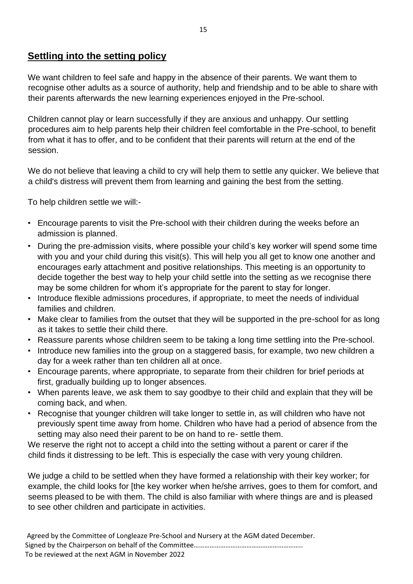## **Settling into the setting policy**

We want children to feel safe and happy in the absence of their parents. We want them to recognise other adults as a source of authority, help and friendship and to be able to share with their parents afterwards the new learning experiences enjoyed in the Pre-school.

Children cannot play or learn successfully if they are anxious and unhappy. Our settling procedures aim to help parents help their children feel comfortable in the Pre-school, to benefit from what it has to offer, and to be confident that their parents will return at the end of the session.

We do not believe that leaving a child to cry will help them to settle any quicker. We believe that a child's distress will prevent them from learning and gaining the best from the setting.

To help children settle we will:-

- Encourage parents to visit the Pre-school with their children during the weeks before an admission is planned.
- During the pre-admission visits, where possible your child's key worker will spend some time with you and your child during this visit(s). This will help you all get to know one another and encourages early attachment and positive relationships. This meeting is an opportunity to decide together the best way to help your child settle into the setting as we recognise there may be some children for whom it's appropriate for the parent to stay for longer.
- Introduce flexible admissions procedures, if appropriate, to meet the needs of individual families and children.
- Make clear to families from the outset that they will be supported in the pre-school for as long as it takes to settle their child there.
- Reassure parents whose children seem to be taking a long time settling into the Pre-school.
- Introduce new families into the group on a staggered basis, for example, two new children a day for a week rather than ten children all at once.
- Encourage parents, where appropriate, to separate from their children for brief periods at first, gradually building up to longer absences.
- When parents leave, we ask them to say goodbye to their child and explain that they will be coming back, and when.
- Recognise that younger children will take longer to settle in, as will children who have not previously spent time away from home. Children who have had a period of absence from the setting may also need their parent to be on hand to re- settle them.

We reserve the right not to accept a child into the setting without a parent or carer if the child finds it distressing to be left. This is especially the case with very young children.

We judge a child to be settled when they have formed a relationship with their key worker; for example, the child looks for [the key worker when he/she arrives, goes to them for comfort, and seems pleased to be with them. The child is also familiar with where things are and is pleased to see other children and participate in activities.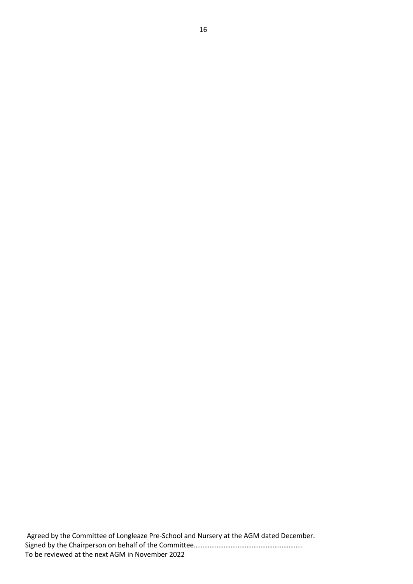Agreed by the Committee of Longleaze Pre-School and Nursery at the AGM dated December. Signed by the Chairperson on behalf of the Committee………………………………………………………………………… To be reviewed at the next AGM in November 2022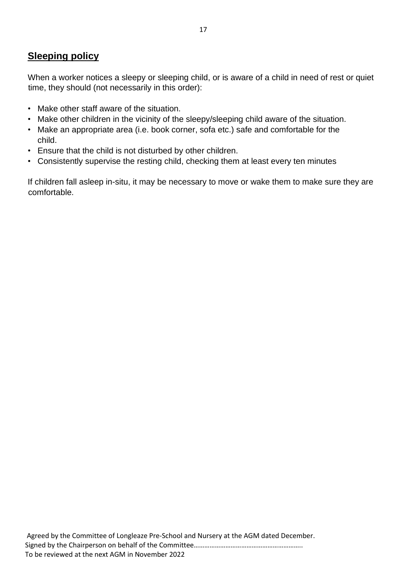## **Sleeping policy**

When a worker notices a sleepy or sleeping child, or is aware of a child in need of rest or quiet time, they should (not necessarily in this order):

- Make other staff aware of the situation.
- Make other children in the vicinity of the sleepy/sleeping child aware of the situation.
- Make an appropriate area (i.e. book corner, sofa etc.) safe and comfortable for the child.
- Ensure that the child is not disturbed by other children.
- Consistently supervise the resting child, checking them at least every ten minutes

If children fall asleep in-situ, it may be necessary to move or wake them to make sure they are comfortable.